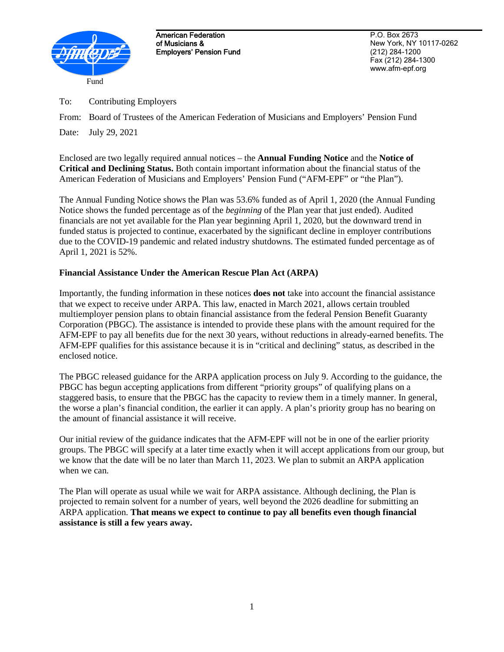

American Federation of Musicians & Employers' Pension Fund

P.O. Box 2673 New York, NY 10117-0262 (212) 284-1200 Fax (212) 284-1300 www.afm-epf.org

To: Contributing Employers

Date: July 29, 2021

Enclosed are two legally required annual notices – the **Annual Funding Notice** and the **Notice of Critical and Declining Status.** Both contain important information about the financial status of the American Federation of Musicians and Employers' Pension Fund ("AFM-EPF" or "the Plan").

The Annual Funding Notice shows the Plan was 53.6% funded as of April 1, 2020 (the Annual Funding Notice shows the funded percentage as of the *beginning* of the Plan year that just ended). Audited financials are not yet available for the Plan year beginning April 1, 2020, but the downward trend in funded status is projected to continue, exacerbated by the significant decline in employer contributions due to the COVID-19 pandemic and related industry shutdowns. The estimated funded percentage as of April 1, 2021 is 52%.

## **Financial Assistance Under the American Rescue Plan Act (ARPA)**

Importantly, the funding information in these notices **does not** take into account the financial assistance that we expect to receive under ARPA. This law, enacted in March 2021, allows certain troubled multiemployer pension plans to obtain financial assistance from the federal Pension Benefit Guaranty Corporation (PBGC). The assistance is intended to provide these plans with the amount required for the AFM-EPF to pay all benefits due for the next 30 years, without reductions in already-earned benefits. The AFM-EPF qualifies for this assistance because it is in "critical and declining" status, as described in the enclosed notice.

The PBGC released guidance for the ARPA application process on July 9. According to the guidance, the PBGC has begun accepting applications from different "priority groups" of qualifying plans on a staggered basis, to ensure that the PBGC has the capacity to review them in a timely manner. In general, the worse a plan's financial condition, the earlier it can apply. A plan's priority group has no bearing on the amount of financial assistance it will receive.

Our initial review of the guidance indicates that the AFM-EPF will not be in one of the earlier priority groups. The PBGC will specify at a later time exactly when it will accept applications from our group, but we know that the date will be no later than March 11, 2023. We plan to submit an ARPA application when we can.

The Plan will operate as usual while we wait for ARPA assistance. Although declining, the Plan is projected to remain solvent for a number of years, well beyond the 2026 deadline for submitting an ARPA application. **That means we expect to continue to pay all benefits even though financial assistance is still a few years away.**

From: Board of Trustees of the American Federation of Musicians and Employers' Pension Fund